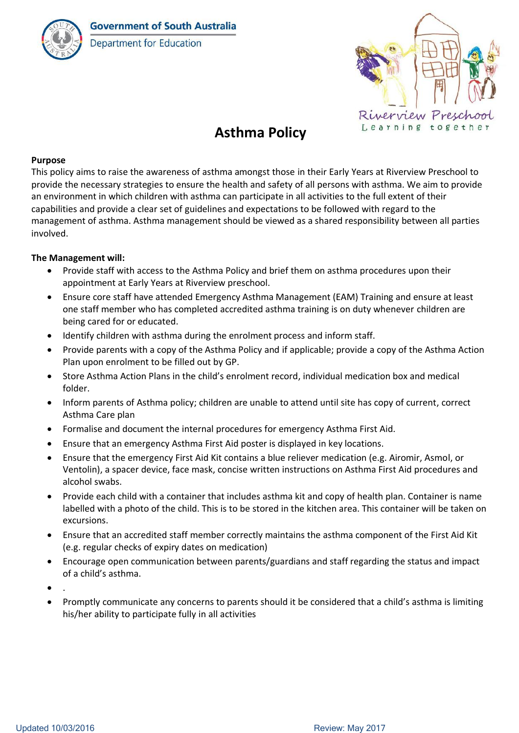

**Department for Education** 



# **Asthma Policy**

## **Purpose**

This policy aims to raise the awareness of asthma amongst those in their Early Years at Riverview Preschool to provide the necessary strategies to ensure the health and safety of all persons with asthma. We aim to provide an environment in which children with asthma can participate in all activities to the full extent of their capabilities and provide a clear set of guidelines and expectations to be followed with regard to the management of asthma. Asthma management should be viewed as a shared responsibility between all parties involved.

# **The Management will:**

- Provide staff with access to the Asthma Policy and brief them on asthma procedures upon their appointment at Early Years at Riverview preschool.
- Ensure core staff have attended Emergency Asthma Management (EAM) Training and ensure at least one staff member who has completed accredited asthma training is on duty whenever children are being cared for or educated.
- Identify children with asthma during the enrolment process and inform staff.
- Provide parents with a copy of the Asthma Policy and if applicable; provide a copy of the Asthma Action Plan upon enrolment to be filled out by GP.
- Store Asthma Action Plans in the child's enrolment record, individual medication box and medical folder.
- Inform parents of Asthma policy; children are unable to attend until site has copy of current, correct Asthma Care plan
- Formalise and document the internal procedures for emergency Asthma First Aid.
- Ensure that an emergency Asthma First Aid poster is displayed in key locations.
- Ensure that the emergency First Aid Kit contains a blue reliever medication (e.g. Airomir, Asmol, or Ventolin), a spacer device, face mask, concise written instructions on Asthma First Aid procedures and alcohol swabs.
- Provide each child with a container that includes asthma kit and copy of health plan. Container is name labelled with a photo of the child. This is to be stored in the kitchen area. This container will be taken on excursions.
- Ensure that an accredited staff member correctly maintains the asthma component of the First Aid Kit (e.g. regular checks of expiry dates on medication)
- Encourage open communication between parents/guardians and staff regarding the status and impact of a child's asthma.
- $\bullet$  .
- Promptly communicate any concerns to parents should it be considered that a child's asthma is limiting his/her ability to participate fully in all activities